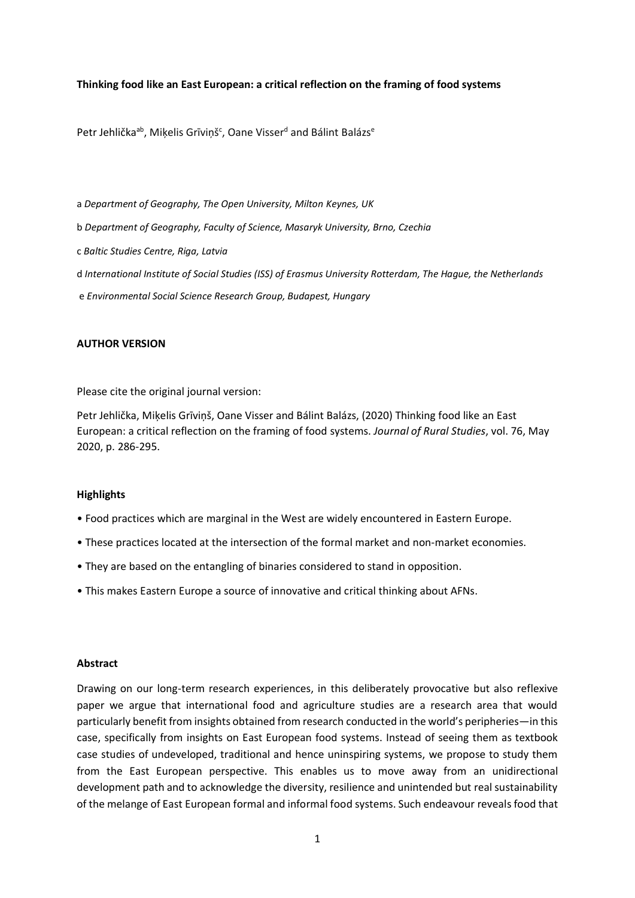## **Thinking food like an East European: a critical reflection on the framing of food systems**

[Petr Jehlička](https://www.sciencedirect.com/science/article/abs/pii/S0743016719315086#!)<sup>ab</sup>, [Miķelis Grīviņš](https://www.sciencedirect.com/science/article/abs/pii/S0743016719315086#!)<sup>c</sup>, Oane [Visser](https://www.sciencedirect.com/science/article/abs/pii/S0743016719315086#!)<sup>d</sup> and [Bálint Balázs](https://www.sciencedirect.com/science/article/abs/pii/S0743016719315086#!)<sup>e</sup>

a *Department of Geography, The Open University, Milton Keynes, UK*

- b *Department of Geography, Faculty of Science, Masaryk University, Brno, Czechia*
- c *Baltic Studies Centre, Riga, Latvia*
- d *International Institute of Social Studies (ISS) of Erasmus University Rotterdam, The Hague, the Netherlands*
- e *Environmental Social Science Research Group, Budapest, Hungary*

### **AUTHOR VERSION**

Please cite the original journal version:

Petr Jehlička, Miķelis Grīviņš, Oane Visser and Bálint Balázs, (2020) Thinking food like an East European: a critical reflection on the framing of food systems. *Journal of Rural Studies*, vol. 76, May 2020, p. 286-295.

#### **Highlights**

- Food practices which are marginal in the West are widely encountered in Eastern Europe.
- These practices located at the intersection of the formal market and non-market economies.
- They are based on the entangling of binaries considered to stand in opposition.
- This makes Eastern Europe a source of innovative and critical thinking about AFNs.

### **Abstract**

Drawing on our long-term research experiences, in this deliberately provocative but also reflexive paper we argue that international food and agriculture studies are a research area that would particularly benefit from insights obtained from research conducted in the world's peripheries—in this case, specifically from insights on East European food systems. Instead of seeing them as textbook case studies of undeveloped, traditional and hence uninspiring systems, we propose to study them from the East European perspective. This enables us to move away from an unidirectional development path and to acknowledge the diversity, resilience and unintended but real sustainability of the melange of East European formal and informal food systems. Such endeavour reveals food that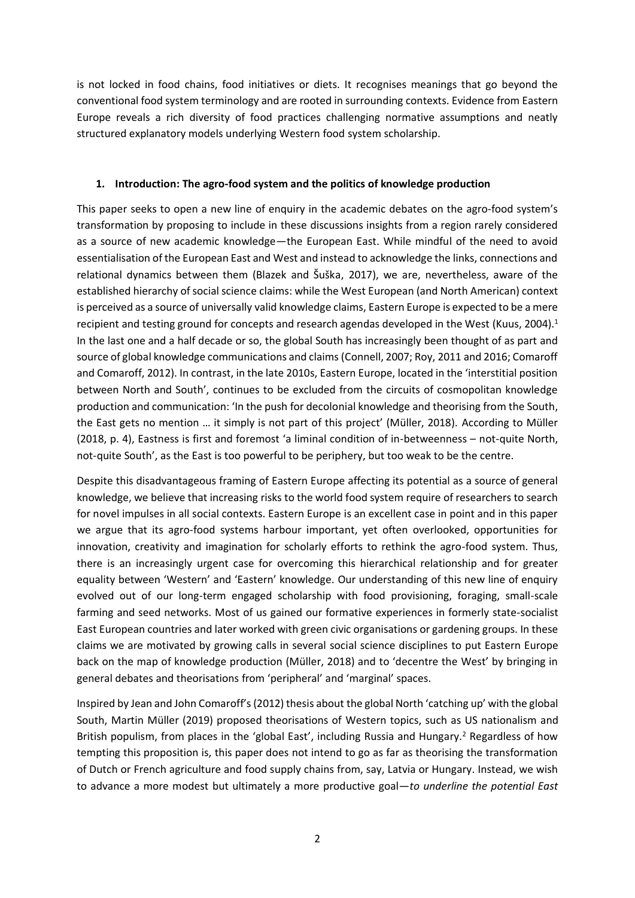is not locked in food chains, food initiatives or diets. It recognises meanings that go beyond the conventional food system terminology and are rooted in surrounding contexts. Evidence from Eastern Europe reveals a rich diversity of food practices challenging normative assumptions and neatly structured explanatory models underlying Western food system scholarship.

# **1. Introduction: The agro-food system and the politics of knowledge production**

This paper seeks to open a new line of enquiry in the academic debates on the agro-food system's transformation by proposing to include in these discussions insights from a region rarely considered as a source of new academic knowledge—the European East. While mindful of the need to avoid essentialisation of the European East and West and instead to acknowledge the links, connections and relational dynamics between them (Blazek and Šuška, 2017), we are, nevertheless, aware of the established hierarchy of social science claims: while the West European (and North American) context is perceived as a source of universally valid knowledge claims, Eastern Europe is expected to be a mere recipient and testing ground for concepts and research agendas developed in the West (Kuus, 2004). 1 In the last one and a half decade or so, the global South has increasingly been thought of as part and source of global knowledge communications and claims (Connell, 2007; Roy, 2011 and 2016; Comaroff and Comaroff, 2012). In contrast, in the late 2010s, Eastern Europe, located in the 'interstitial position between North and South', continues to be excluded from the circuits of cosmopolitan knowledge production and communication: 'In the push for decolonial knowledge and theorising from the South, the East gets no mention … it simply is not part of this project' (Müller, 2018). According to Müller (2018, p. 4), Eastness is first and foremost 'a liminal condition of in-betweenness – not-quite North, not-quite South', as the East is too powerful to be periphery, but too weak to be the centre.

Despite this disadvantageous framing of Eastern Europe affecting its potential as a source of general knowledge, we believe that increasing risks to the world food system require of researchers to search for novel impulses in all social contexts. Eastern Europe is an excellent case in point and in this paper we argue that its agro-food systems harbour important, yet often overlooked, opportunities for innovation, creativity and imagination for scholarly efforts to rethink the agro-food system. Thus, there is an increasingly urgent case for overcoming this hierarchical relationship and for greater equality between 'Western' and 'Eastern' knowledge. Our understanding of this new line of enquiry evolved out of our long-term engaged scholarship with food provisioning, foraging, small-scale farming and seed networks. Most of us gained our formative experiences in formerly state-socialist East European countries and later worked with green civic organisations or gardening groups. In these claims we are motivated by growing calls in several social science disciplines to put Eastern Europe back on the map of knowledge production (Müller, 2018) and to 'decentre the West' by bringing in general debates and theorisations from 'peripheral' and 'marginal' spaces.

Inspired by Jean and John Comaroff's(2012) thesis about the global North 'catching up' with the global South, Martin Müller (2019) proposed theorisations of Western topics, such as US nationalism and British populism, from places in the 'global East', including Russia and Hungary.<sup>2</sup> Regardless of how tempting this proposition is, this paper does not intend to go as far as theorising the transformation of Dutch or French agriculture and food supply chains from, say, Latvia or Hungary. Instead, we wish to advance a more modest but ultimately a more productive goal—*to underline the potential East*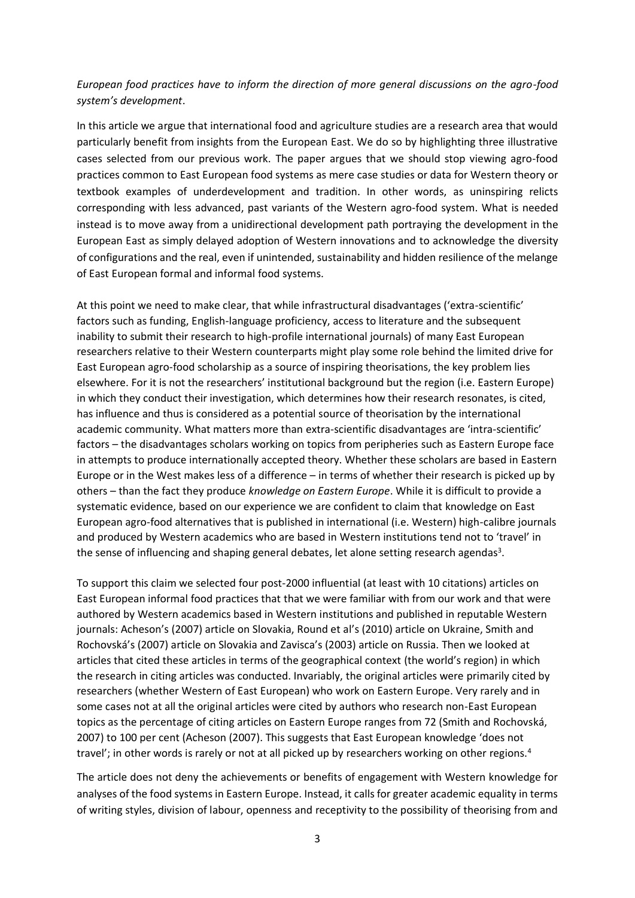# *European food practices have to inform the direction of more general discussions on the agro-food system's development*.

In this article we argue that international food and agriculture studies are a research area that would particularly benefit from insights from the European East. We do so by highlighting three illustrative cases selected from our previous work. The paper argues that we should stop viewing agro-food practices common to East European food systems as mere case studies or data for Western theory or textbook examples of underdevelopment and tradition. In other words, as uninspiring relicts corresponding with less advanced, past variants of the Western agro-food system. What is needed instead is to move away from a unidirectional development path portraying the development in the European East as simply delayed adoption of Western innovations and to acknowledge the diversity of configurations and the real, even if unintended, sustainability and hidden resilience of the melange of East European formal and informal food systems.

At this point we need to make clear, that while infrastructural disadvantages ('extra-scientific' factors such as funding, English-language proficiency, access to literature and the subsequent inability to submit their research to high-profile international journals) of many East European researchers relative to their Western counterparts might play some role behind the limited drive for East European agro-food scholarship as a source of inspiring theorisations, the key problem lies elsewhere. For it is not the researchers' institutional background but the region (i.e. Eastern Europe) in which they conduct their investigation, which determines how their research resonates, is cited, has influence and thus is considered as a potential source of theorisation by the international academic community. What matters more than extra-scientific disadvantages are 'intra-scientific' factors – the disadvantages scholars working on topics from peripheries such as Eastern Europe face in attempts to produce internationally accepted theory. Whether these scholars are based in Eastern Europe or in the West makes less of a difference – in terms of whether their research is picked up by others – than the fact they produce *knowledge on Eastern Europe*. While it is difficult to provide a systematic evidence, based on our experience we are confident to claim that knowledge on East European agro-food alternatives that is published in international (i.e. Western) high-calibre journals and produced by Western academics who are based in Western institutions tend not to 'travel' in the sense of influencing and shaping general debates, let alone setting research agendas<sup>3</sup>.

To support this claim we selected four post-2000 influential (at least with 10 citations) articles on East European informal food practices that that we were familiar with from our work and that were authored by Western academics based in Western institutions and published in reputable Western journals: Acheson's (2007) article on Slovakia, Round et al's (2010) article on Ukraine, Smith and Rochovská's (2007) article on Slovakia and Zavisca's (2003) article on Russia. Then we looked at articles that cited these articles in terms of the geographical context (the world's region) in which the research in citing articles was conducted. Invariably, the original articles were primarily cited by researchers (whether Western of East European) who work on Eastern Europe. Very rarely and in some cases not at all the original articles were cited by authors who research non-East European topics as the percentage of citing articles on Eastern Europe ranges from 72 (Smith and Rochovská, 2007) to 100 per cent (Acheson (2007). This suggests that East European knowledge 'does not travel'; in other words is rarely or not at all picked up by researchers working on other regions.<sup>4</sup>

The article does not deny the achievements or benefits of engagement with Western knowledge for analyses of the food systems in Eastern Europe. Instead, it calls for greater academic equality in terms of writing styles, division of labour, openness and receptivity to the possibility of theorising from and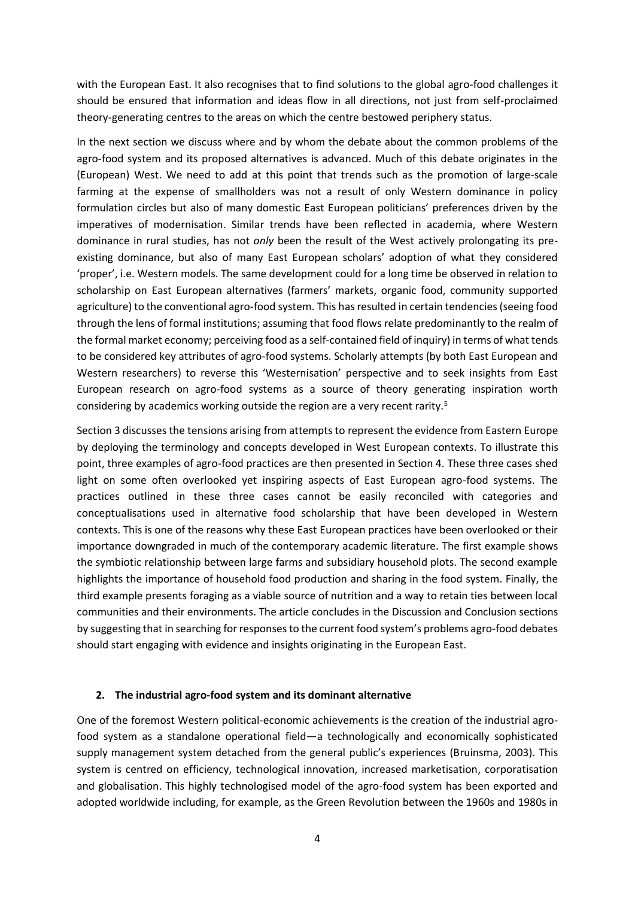with the European East. It also recognises that to find solutions to the global agro-food challenges it should be ensured that information and ideas flow in all directions, not just from self-proclaimed theory-generating centres to the areas on which the centre bestowed periphery status.

In the next section we discuss where and by whom the debate about the common problems of the agro-food system and its proposed alternatives is advanced. Much of this debate originates in the (European) West. We need to add at this point that trends such as the promotion of large-scale farming at the expense of smallholders was not a result of only Western dominance in policy formulation circles but also of many domestic East European politicians' preferences driven by the imperatives of modernisation. Similar trends have been reflected in academia, where Western dominance in rural studies, has not *only* been the result of the West actively prolongating its preexisting dominance, but also of many East European scholars' adoption of what they considered 'proper', i.e. Western models. The same development could for a long time be observed in relation to scholarship on East European alternatives (farmers' markets, organic food, community supported agriculture) to the conventional agro-food system. This has resulted in certain tendencies (seeing food through the lens of formal institutions; assuming that food flows relate predominantly to the realm of the formal market economy; perceiving food as a self-contained field of inquiry) in terms of what tends to be considered key attributes of agro-food systems. Scholarly attempts (by both East European and Western researchers) to reverse this 'Westernisation' perspective and to seek insights from East European research on agro-food systems as a source of theory generating inspiration worth considering by academics working outside the region are a very recent rarity.<sup>5</sup>

Section 3 discusses the tensions arising from attempts to represent the evidence from Eastern Europe by deploying the terminology and concepts developed in West European contexts. To illustrate this point, three examples of agro-food practices are then presented in Section 4. These three cases shed light on some often overlooked yet inspiring aspects of East European agro-food systems. The practices outlined in these three cases cannot be easily reconciled with categories and conceptualisations used in alternative food scholarship that have been developed in Western contexts. This is one of the reasons why these East European practices have been overlooked or their importance downgraded in much of the contemporary academic literature. The first example shows the symbiotic relationship between large farms and subsidiary household plots. The second example highlights the importance of household food production and sharing in the food system. Finally, the third example presents foraging as a viable source of nutrition and a way to retain ties between local communities and their environments. The article concludes in the Discussion and Conclusion sections by suggesting that in searching for responsesto the current food system's problems agro-food debates should start engaging with evidence and insights originating in the European East.

### **2. The industrial agro-food system and its dominant alternative**

One of the foremost Western political-economic achievements is the creation of the industrial agrofood system as a standalone operational field—a technologically and economically sophisticated supply management system detached from the general public's experiences (Bruinsma, 2003). This system is centred on efficiency, technological innovation, increased marketisation, corporatisation and globalisation. This highly technologised model of the agro-food system has been exported and adopted worldwide including, for example, as the Green Revolution between the 1960s and 1980s in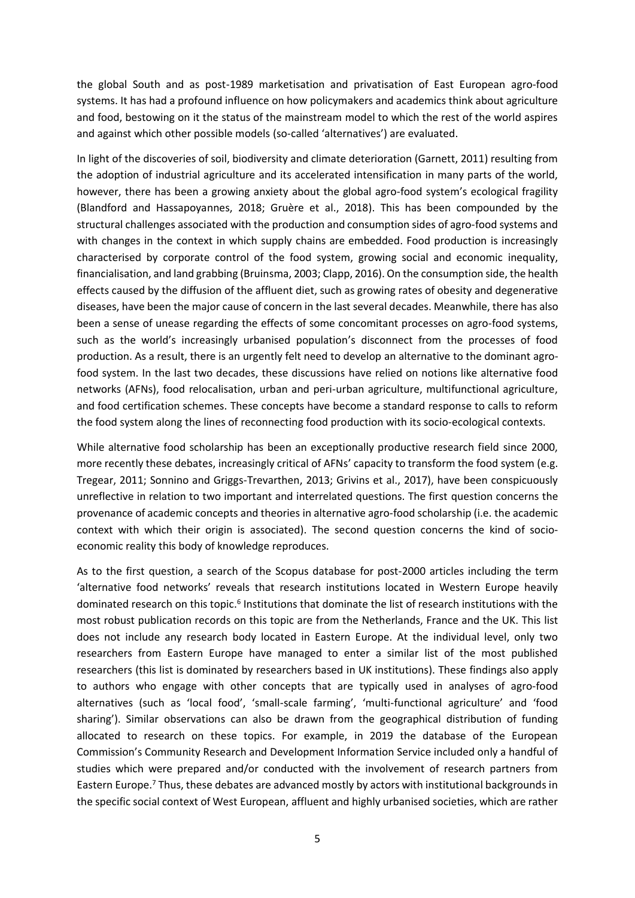the global South and as post-1989 marketisation and privatisation of East European agro-food systems. It has had a profound influence on how policymakers and academics think about agriculture and food, bestowing on it the status of the mainstream model to which the rest of the world aspires and against which other possible models (so-called 'alternatives') are evaluated.

In light of the discoveries of soil, biodiversity and climate deterioration (Garnett, 2011) resulting from the adoption of industrial agriculture and its accelerated intensification in many parts of the world, however, there has been a growing anxiety about the global agro-food system's ecological fragility (Blandford and Hassapoyannes, 2018; Gruère et al., 2018). This has been compounded by the structural challenges associated with the production and consumption sides of agro-food systems and with changes in the context in which supply chains are embedded. Food production is increasingly characterised by corporate control of the food system, growing social and economic inequality, financialisation, and land grabbing (Bruinsma, 2003; Clapp, 2016). On the consumption side, the health effects caused by the diffusion of the affluent diet, such as growing rates of obesity and degenerative diseases, have been the major cause of concern in the last several decades. Meanwhile, there has also been a sense of unease regarding the effects of some concomitant processes on agro-food systems, such as the world's increasingly urbanised population's disconnect from the processes of food production. As a result, there is an urgently felt need to develop an alternative to the dominant agrofood system. In the last two decades, these discussions have relied on notions like alternative food networks (AFNs), food relocalisation, urban and peri-urban agriculture, multifunctional agriculture, and food certification schemes. These concepts have become a standard response to calls to reform the food system along the lines of reconnecting food production with its socio-ecological contexts.

While alternative food scholarship has been an exceptionally productive research field since 2000, more recently these debates, increasingly critical of AFNs' capacity to transform the food system (e.g. Tregear, 2011; Sonnino and Griggs-Trevarthen, 2013; Grivins et al., 2017), have been conspicuously unreflective in relation to two important and interrelated questions. The first question concerns the provenance of academic concepts and theories in alternative agro-food scholarship (i.e. the academic context with which their origin is associated). The second question concerns the kind of socioeconomic reality this body of knowledge reproduces.

As to the first question, a search of the Scopus database for post-2000 articles including the term 'alternative food networks' reveals that research institutions located in Western Europe heavily dominated research on this topic.<sup>6</sup> Institutions that dominate the list of research institutions with the most robust publication records on this topic are from the Netherlands, France and the UK. This list does not include any research body located in Eastern Europe. At the individual level, only two researchers from Eastern Europe have managed to enter a similar list of the most published researchers (this list is dominated by researchers based in UK institutions). These findings also apply to authors who engage with other concepts that are typically used in analyses of agro-food alternatives (such as 'local food', 'small-scale farming', 'multi-functional agriculture' and 'food sharing'). Similar observations can also be drawn from the geographical distribution of funding allocated to research on these topics. For example, in 2019 the database of the European Commission's Community Research and Development Information Service included only a handful of studies which were prepared and/or conducted with the involvement of research partners from Eastern Europe.<sup>7</sup> Thus, these debates are advanced mostly by actors with institutional backgrounds in the specific social context of West European, affluent and highly urbanised societies, which are rather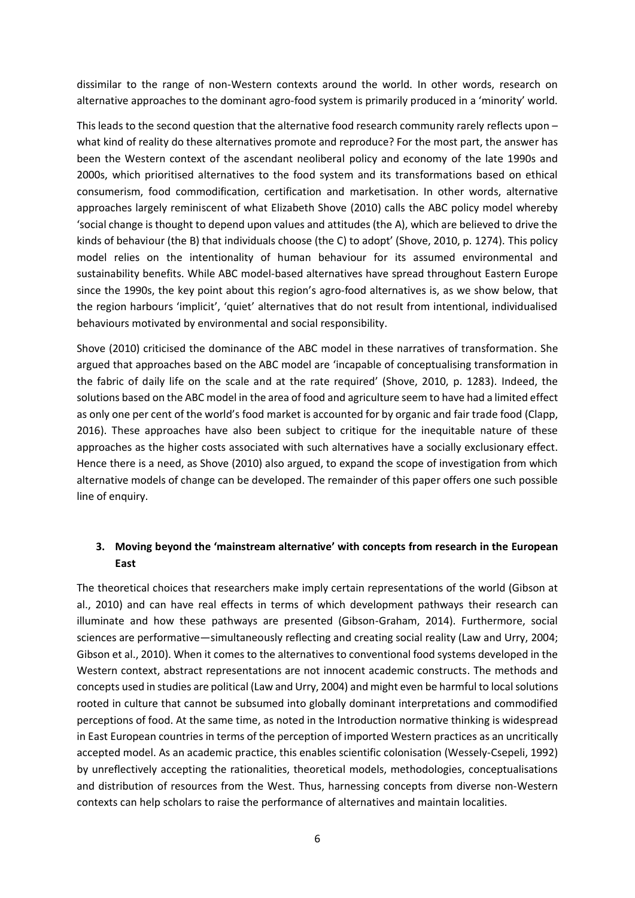dissimilar to the range of non-Western contexts around the world. In other words, research on alternative approaches to the dominant agro-food system is primarily produced in a 'minority' world.

This leads to the second question that the alternative food research community rarely reflects upon – what kind of reality do these alternatives promote and reproduce? For the most part, the answer has been the Western context of the ascendant neoliberal policy and economy of the late 1990s and 2000s, which prioritised alternatives to the food system and its transformations based on ethical consumerism, food commodification, certification and marketisation. In other words, alternative approaches largely reminiscent of what Elizabeth Shove (2010) calls the ABC policy model whereby 'social change is thought to depend upon values and attitudes (the A), which are believed to drive the kinds of behaviour (the B) that individuals choose (the C) to adopt' (Shove, 2010, p. 1274). This policy model relies on the intentionality of human behaviour for its assumed environmental and sustainability benefits. While ABC model-based alternatives have spread throughout Eastern Europe since the 1990s, the key point about this region's agro-food alternatives is, as we show below, that the region harbours 'implicit', 'quiet' alternatives that do not result from intentional, individualised behaviours motivated by environmental and social responsibility.

Shove (2010) criticised the dominance of the ABC model in these narratives of transformation. She argued that approaches based on the ABC model are 'incapable of conceptualising transformation in the fabric of daily life on the scale and at the rate required' (Shove, 2010, p. 1283). Indeed, the solutions based on the ABC model in the area of food and agriculture seem to have had a limited effect as only one per cent of the world's food market is accounted for by organic and fair trade food (Clapp, 2016). These approaches have also been subject to critique for the inequitable nature of these approaches as the higher costs associated with such alternatives have a socially exclusionary effect. Hence there is a need, as Shove (2010) also argued, to expand the scope of investigation from which alternative models of change can be developed. The remainder of this paper offers one such possible line of enquiry.

# **3. Moving beyond the 'mainstream alternative' with concepts from research in the European East**

The theoretical choices that researchers make imply certain representations of the world (Gibson at al., 2010) and can have real effects in terms of which development pathways their research can illuminate and how these pathways are presented (Gibson-Graham, 2014). Furthermore, social sciences are performative—simultaneously reflecting and creating social reality (Law and Urry, 2004; Gibson et al., 2010). When it comes to the alternatives to conventional food systems developed in the Western context, abstract representations are not innocent academic constructs. The methods and concepts used in studies are political (Law and Urry, 2004) and might even be harmful to localsolutions rooted in culture that cannot be subsumed into globally dominant interpretations and commodified perceptions of food. At the same time, as noted in the Introduction normative thinking is widespread in East European countries in terms of the perception of imported Western practices as an uncritically accepted model. As an academic practice, this enables scientific colonisation (Wessely-Csepeli, 1992) by unreflectively accepting the rationalities, theoretical models, methodologies, conceptualisations and distribution of resources from the West. Thus, harnessing concepts from diverse non-Western contexts can help scholars to raise the performance of alternatives and maintain localities.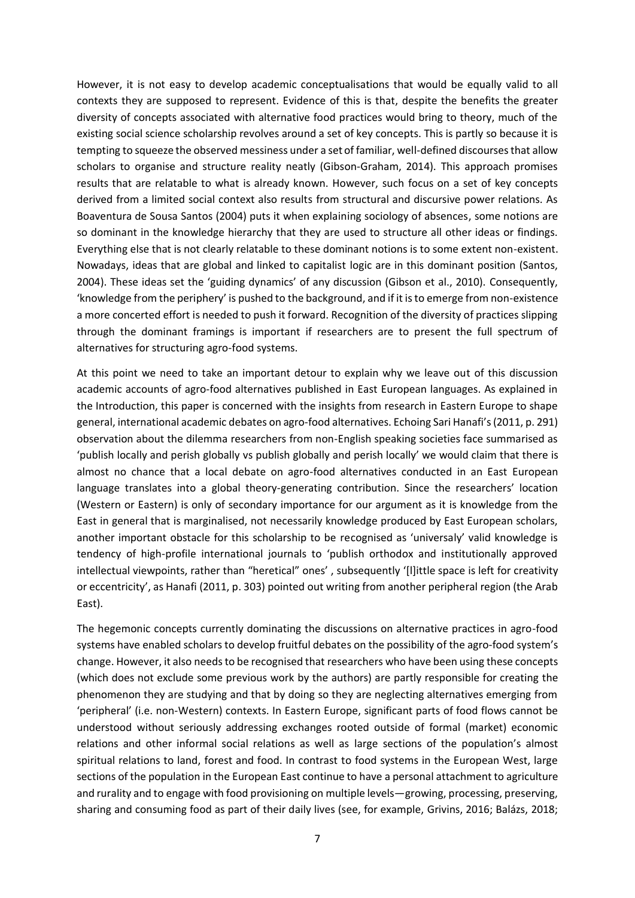However, it is not easy to develop academic conceptualisations that would be equally valid to all contexts they are supposed to represent. Evidence of this is that, despite the benefits the greater diversity of concepts associated with alternative food practices would bring to theory, much of the existing social science scholarship revolves around a set of key concepts. This is partly so because it is tempting to squeeze the observed messiness under a set of familiar, well-defined discourses that allow scholars to organise and structure reality neatly (Gibson-Graham, 2014). This approach promises results that are relatable to what is already known. However, such focus on a set of key concepts derived from a limited social context also results from structural and discursive power relations. As Boaventura de Sousa Santos (2004) puts it when explaining sociology of absences, some notions are so dominant in the knowledge hierarchy that they are used to structure all other ideas or findings. Everything else that is not clearly relatable to these dominant notions is to some extent non-existent. Nowadays, ideas that are global and linked to capitalist logic are in this dominant position (Santos, 2004). These ideas set the 'guiding dynamics' of any discussion (Gibson et al., 2010). Consequently, 'knowledge from the periphery' is pushed to the background, and if it is to emerge from non-existence a more concerted effort is needed to push it forward. Recognition of the diversity of practices slipping through the dominant framings is important if researchers are to present the full spectrum of alternatives for structuring agro-food systems.

At this point we need to take an important detour to explain why we leave out of this discussion academic accounts of agro-food alternatives published in East European languages. As explained in the Introduction, this paper is concerned with the insights from research in Eastern Europe to shape general, international academic debates on agro-food alternatives. Echoing Sari Hanafi's (2011, p. 291) observation about the dilemma researchers from non-English speaking societies face summarised as 'publish locally and perish globally vs publish globally and perish locally' we would claim that there is almost no chance that a local debate on agro-food alternatives conducted in an East European language translates into a global theory-generating contribution. Since the researchers' location (Western or Eastern) is only of secondary importance for our argument as it is knowledge from the East in general that is marginalised, not necessarily knowledge produced by East European scholars, another important obstacle for this scholarship to be recognised as 'universaly' valid knowledge is tendency of high-profile international journals to 'publish orthodox and institutionally approved intellectual viewpoints, rather than "heretical" ones' , subsequently '[l]ittle space is left for creativity or eccentricity', as Hanafi (2011, p. 303) pointed out writing from another peripheral region (the Arab East).

The hegemonic concepts currently dominating the discussions on alternative practices in agro-food systems have enabled scholars to develop fruitful debates on the possibility of the agro-food system's change. However, it also needs to be recognised that researchers who have been using these concepts (which does not exclude some previous work by the authors) are partly responsible for creating the phenomenon they are studying and that by doing so they are neglecting alternatives emerging from 'peripheral' (i.e. non-Western) contexts. In Eastern Europe, significant parts of food flows cannot be understood without seriously addressing exchanges rooted outside of formal (market) economic relations and other informal social relations as well as large sections of the population's almost spiritual relations to land, forest and food. In contrast to food systems in the European West, large sections of the population in the European East continue to have a personal attachment to agriculture and rurality and to engage with food provisioning on multiple levels—growing, processing, preserving, sharing and consuming food as part of their daily lives (see, for example, Grivins, 2016; Balázs, 2018;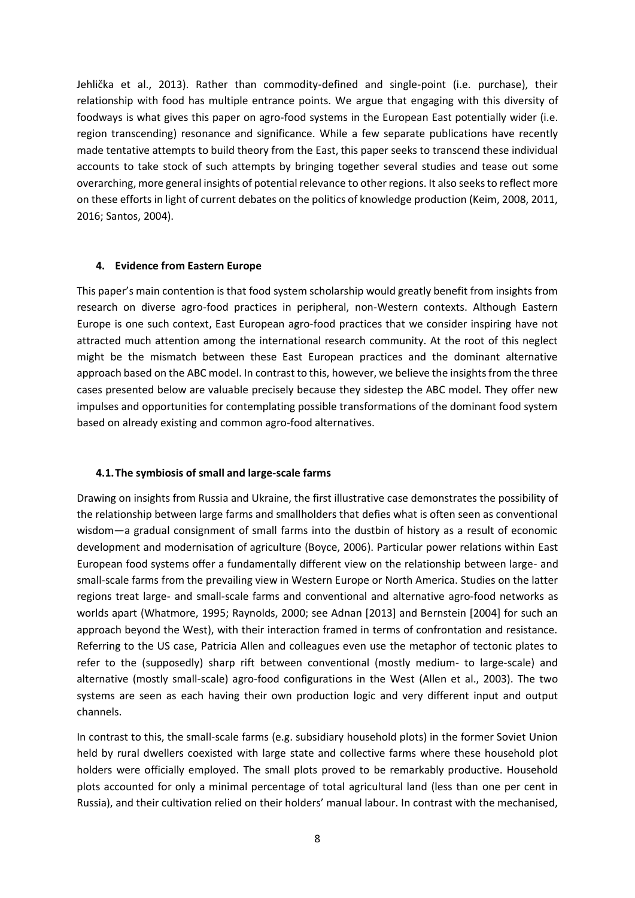Jehlička et al., 2013). Rather than commodity-defined and single-point (i.e. purchase), their relationship with food has multiple entrance points. We argue that engaging with this diversity of foodways is what gives this paper on agro-food systems in the European East potentially wider (i.e. region transcending) resonance and significance. While a few separate publications have recently made tentative attempts to build theory from the East, this paper seeks to transcend these individual accounts to take stock of such attempts by bringing together several studies and tease out some overarching, more general insights of potential relevance to other regions. It also seeks to reflect more on these efforts in light of current debates on the politics of knowledge production (Keim, 2008, 2011, 2016; Santos, 2004).

## **4. Evidence from Eastern Europe**

This paper's main contention is that food system scholarship would greatly benefit from insights from research on diverse agro-food practices in peripheral, non-Western contexts. Although Eastern Europe is one such context, East European agro-food practices that we consider inspiring have not attracted much attention among the international research community. At the root of this neglect might be the mismatch between these East European practices and the dominant alternative approach based on the ABC model. In contrast to this, however, we believe the insights from the three cases presented below are valuable precisely because they sidestep the ABC model. They offer new impulses and opportunities for contemplating possible transformations of the dominant food system based on already existing and common agro-food alternatives.

### **4.1.The symbiosis of small and large-scale farms**

Drawing on insights from Russia and Ukraine, the first illustrative case demonstrates the possibility of the relationship between large farms and smallholders that defies what is often seen as conventional wisdom—a gradual consignment of small farms into the dustbin of history as a result of economic development and modernisation of agriculture (Boyce, 2006). Particular power relations within East European food systems offer a fundamentally different view on the relationship between large- and small-scale farms from the prevailing view in Western Europe or North America. Studies on the latter regions treat large- and small-scale farms and conventional and alternative agro-food networks as worlds apart (Whatmore, 1995; Raynolds, 2000; see Adnan [2013] and Bernstein [2004] for such an approach beyond the West), with their interaction framed in terms of confrontation and resistance. Referring to the US case, Patricia Allen and colleagues even use the metaphor of tectonic plates to refer to the (supposedly) sharp rift between conventional (mostly medium- to large-scale) and alternative (mostly small-scale) agro-food configurations in the West (Allen et al., 2003). The two systems are seen as each having their own production logic and very different input and output channels.

In contrast to this, the small-scale farms (e.g. subsidiary household plots) in the former Soviet Union held by rural dwellers coexisted with large state and collective farms where these household plot holders were officially employed. The small plots proved to be remarkably productive. Household plots accounted for only a minimal percentage of total agricultural land (less than one per cent in Russia), and their cultivation relied on their holders' manual labour. In contrast with the mechanised,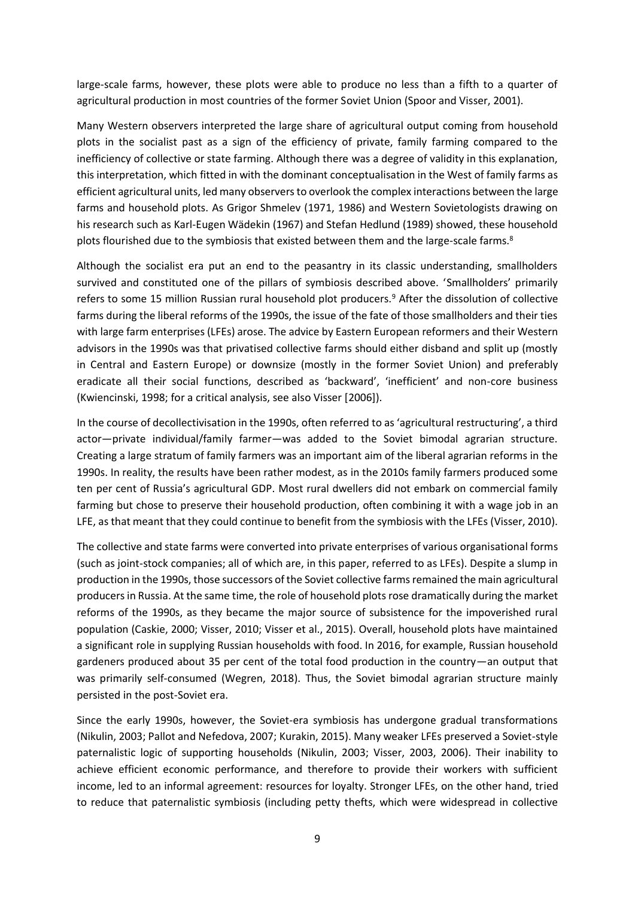large-scale farms, however, these plots were able to produce no less than a fifth to a quarter of agricultural production in most countries of the former Soviet Union (Spoor and Visser, 2001).

Many Western observers interpreted the large share of agricultural output coming from household plots in the socialist past as a sign of the efficiency of private, family farming compared to the inefficiency of collective or state farming. Although there was a degree of validity in this explanation, this interpretation, which fitted in with the dominant conceptualisation in the West of family farms as efficient agricultural units, led many observers to overlook the complex interactions between the large farms and household plots. As Grigor Shmelev (1971, 1986) and Western Sovietologists drawing on his research such as Karl-Eugen Wädekin (1967) and Stefan Hedlund (1989) showed, these household plots flourished due to the symbiosis that existed between them and the large-scale farms.<sup>8</sup>

Although the socialist era put an end to the peasantry in its classic understanding, smallholders survived and constituted one of the pillars of symbiosis described above. 'Smallholders' primarily refers to some 15 million Russian rural household plot producers.<sup>9</sup> After the dissolution of collective farms during the liberal reforms of the 1990s, the issue of the fate of those smallholders and their ties with large farm enterprises (LFEs) arose. The advice by Eastern European reformers and their Western advisors in the 1990s was that privatised collective farms should either disband and split up (mostly in Central and Eastern Europe) or downsize (mostly in the former Soviet Union) and preferably eradicate all their social functions, described as 'backward', 'inefficient' and non-core business (Kwiencinski, 1998; for a critical analysis, see also Visser [2006]).

In the course of decollectivisation in the 1990s, often referred to as 'agricultural restructuring', a third actor—private individual/family farmer—was added to the Soviet bimodal agrarian structure. Creating a large stratum of family farmers was an important aim of the liberal agrarian reforms in the 1990s. In reality, the results have been rather modest, as in the 2010s family farmers produced some ten per cent of Russia's agricultural GDP. Most rural dwellers did not embark on commercial family farming but chose to preserve their household production, often combining it with a wage job in an LFE, as that meant that they could continue to benefit from the symbiosis with the LFEs (Visser, 2010).

The collective and state farms were converted into private enterprises of various organisational forms (such as joint-stock companies; all of which are, in this paper, referred to as LFEs). Despite a slump in production in the 1990s, those successors of the Soviet collective farms remained the main agricultural producers in Russia. At the same time, the role of household plots rose dramatically during the market reforms of the 1990s, as they became the major source of subsistence for the impoverished rural population (Caskie, 2000; Visser, 2010; Visser et al., 2015). Overall, household plots have maintained a significant role in supplying Russian households with food. In 2016, for example, Russian household gardeners produced about 35 per cent of the total food production in the country—an output that was primarily self-consumed (Wegren, 2018). Thus, the Soviet bimodal agrarian structure mainly persisted in the post-Soviet era.

Since the early 1990s, however, the Soviet-era symbiosis has undergone gradual transformations (Nikulin, 2003; Pallot and Nefedova, 2007; Kurakin, 2015). Many weaker LFEs preserved a Soviet-style paternalistic logic of supporting households (Nikulin, 2003; Visser, 2003, 2006). Their inability to achieve efficient economic performance, and therefore to provide their workers with sufficient income, led to an informal agreement: resources for loyalty. Stronger LFEs, on the other hand, tried to reduce that paternalistic symbiosis (including petty thefts, which were widespread in collective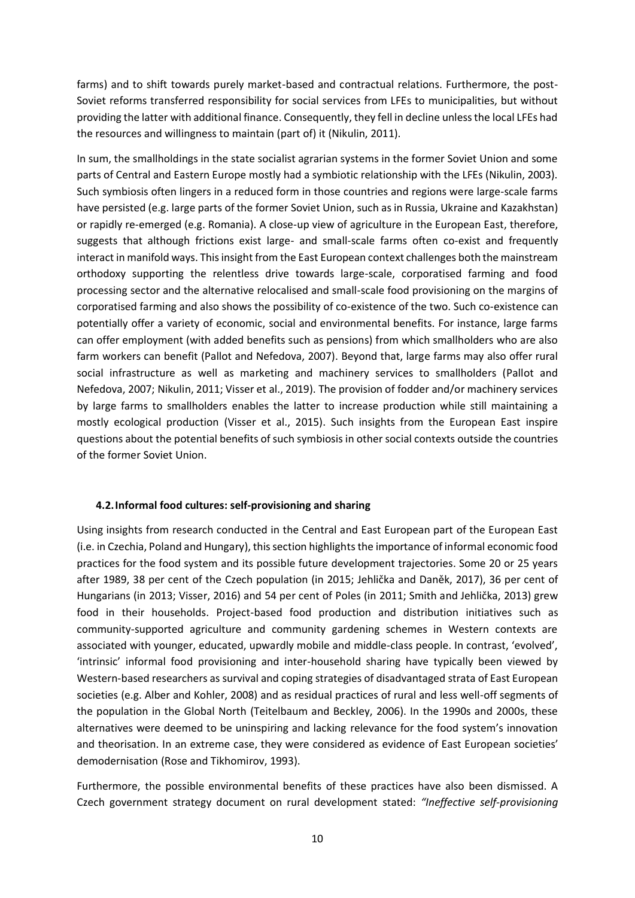farms) and to shift towards purely market-based and contractual relations. Furthermore, the post-Soviet reforms transferred responsibility for social services from LFEs to municipalities, but without providing the latter with additional finance. Consequently, they fell in decline unless the local LFEs had the resources and willingness to maintain (part of) it (Nikulin, 2011).

In sum, the smallholdings in the state socialist agrarian systems in the former Soviet Union and some parts of Central and Eastern Europe mostly had a symbiotic relationship with the LFEs (Nikulin, 2003). Such symbiosis often lingers in a reduced form in those countries and regions were large-scale farms have persisted (e.g. large parts of the former Soviet Union, such as in Russia, Ukraine and Kazakhstan) or rapidly re-emerged (e.g. Romania). A close-up view of agriculture in the European East, therefore, suggests that although frictions exist large- and small-scale farms often co-exist and frequently interact in manifold ways. This insight from the East European context challenges both the mainstream orthodoxy supporting the relentless drive towards large-scale, corporatised farming and food processing sector and the alternative relocalised and small-scale food provisioning on the margins of corporatised farming and also shows the possibility of co-existence of the two. Such co-existence can potentially offer a variety of economic, social and environmental benefits. For instance, large farms can offer employment (with added benefits such as pensions) from which smallholders who are also farm workers can benefit (Pallot and Nefedova, 2007). Beyond that, large farms may also offer rural social infrastructure as well as marketing and machinery services to smallholders (Pallot and Nefedova, 2007; Nikulin, 2011; Visser et al., 2019). The provision of fodder and/or machinery services by large farms to smallholders enables the latter to increase production while still maintaining a mostly ecological production (Visser et al., 2015). Such insights from the European East inspire questions about the potential benefits of such symbiosis in other social contexts outside the countries of the former Soviet Union.

# **4.2.Informal food cultures: self-provisioning and sharing**

Using insights from research conducted in the Central and East European part of the European East (i.e. in Czechia, Poland and Hungary), this section highlights the importance of informal economic food practices for the food system and its possible future development trajectories. Some 20 or 25 years after 1989, 38 per cent of the Czech population (in 2015; Jehlička and Daněk, 2017), 36 per cent of Hungarians (in 2013; Visser, 2016) and 54 per cent of Poles (in 2011; Smith and Jehlička, 2013) grew food in their households. Project-based food production and distribution initiatives such as community-supported agriculture and community gardening schemes in Western contexts are associated with younger, educated, upwardly mobile and middle-class people. In contrast, 'evolved', 'intrinsic' informal food provisioning and inter-household sharing have typically been viewed by Western-based researchers as survival and coping strategies of disadvantaged strata of East European societies (e.g. Alber and Kohler, 2008) and as residual practices of rural and less well-off segments of the population in the Global North (Teitelbaum and Beckley, 2006). In the 1990s and 2000s, these alternatives were deemed to be uninspiring and lacking relevance for the food system's innovation and theorisation. In an extreme case, they were considered as evidence of East European societies' demodernisation (Rose and Tikhomirov, 1993).

Furthermore, the possible environmental benefits of these practices have also been dismissed. A Czech government strategy document on rural development stated: *"Ineffective self-provisioning*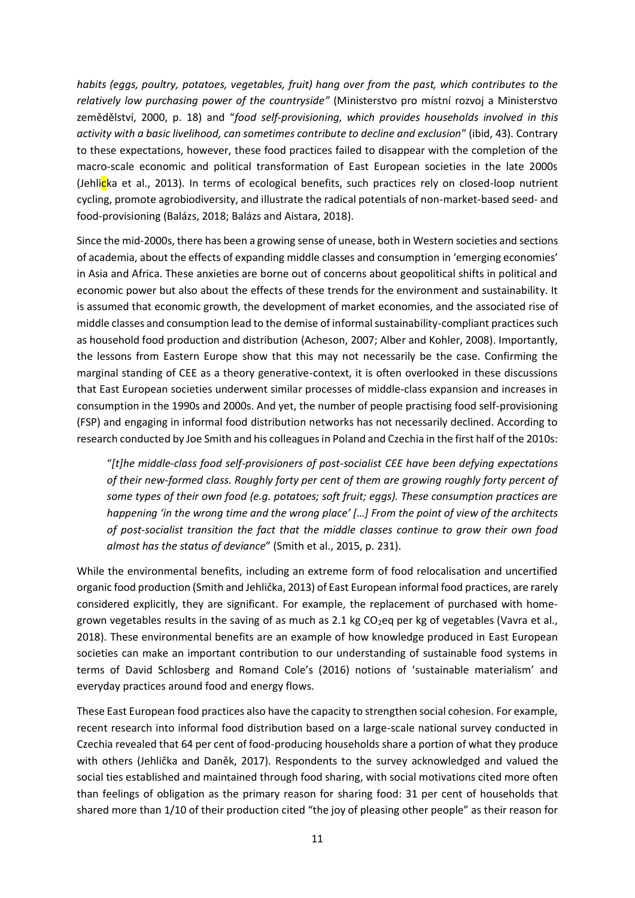*habits (eggs, poultry, potatoes, vegetables, fruit) hang over from the past, which contributes to the relatively low purchasing power of the countryside"* (Ministerstvo pro místní rozvoj a Ministerstvo zemědělství, 2000, p. 18) and "*food self-provisioning, which provides households involved in this activity with a basic livelihood, can sometimes contribute to decline and exclusion*" (ibid, 43). Contrary to these expectations, however, these food practices failed to disappear with the completion of the macro-scale economic and political transformation of East European societies in the late 2000s (Jehlicka et al., 2013). In terms of ecological benefits, such practices rely on closed-loop nutrient cycling, promote agrobiodiversity, and illustrate the radical potentials of non-market-based seed- and food-provisioning (Balázs, 2018; Balázs and Aistara, 2018).

Since the mid-2000s, there has been a growing sense of unease, both in Western societies and sections of academia, about the effects of expanding middle classes and consumption in 'emerging economies' in Asia and Africa. These anxieties are borne out of concerns about geopolitical shifts in political and economic power but also about the effects of these trends for the environment and sustainability. It is assumed that economic growth, the development of market economies, and the associated rise of middle classes and consumption lead to the demise of informal sustainability-compliant practices such as household food production and distribution (Acheson, 2007; Alber and Kohler, 2008). Importantly, the lessons from Eastern Europe show that this may not necessarily be the case. Confirming the marginal standing of CEE as a theory generative-context, it is often overlooked in these discussions that East European societies underwent similar processes of middle-class expansion and increases in consumption in the 1990s and 2000s. And yet, the number of people practising food self-provisioning (FSP) and engaging in informal food distribution networks has not necessarily declined. According to research conducted by Joe Smith and his colleagues in Poland and Czechia in the first half of the 2010s:

"*[t]he middle-class food self-provisioners of post-socialist CEE have been defying expectations of their new-formed class. Roughly forty per cent of them are growing roughly forty percent of some types of their own food (e.g. potatoes; soft fruit; eggs). These consumption practices are happening 'in the wrong time and the wrong place' […] From the point of view of the architects of post-socialist transition the fact that the middle classes continue to grow their own food almost has the status of deviance*" (Smith et al., 2015, p. 231).

While the environmental benefits, including an extreme form of food relocalisation and uncertified organic food production (Smith and Jehlička, 2013) of East European informal food practices, are rarely considered explicitly, they are significant. For example, the replacement of purchased with homegrown vegetables results in the saving of as much as 2.1 kg  $CO<sub>2</sub>$ eq per kg of vegetables (Vavra et al., 2018). These environmental benefits are an example of how knowledge produced in East European societies can make an important contribution to our understanding of sustainable food systems in terms of David Schlosberg and Romand Cole's (2016) notions of 'sustainable materialism' and everyday practices around food and energy flows.

These East European food practices also have the capacity to strengthen social cohesion. For example, recent research into informal food distribution based on a large-scale national survey conducted in Czechia revealed that 64 per cent of food-producing households share a portion of what they produce with others (Jehlička and Daněk, 2017). Respondents to the survey acknowledged and valued the social ties established and maintained through food sharing, with social motivations cited more often than feelings of obligation as the primary reason for sharing food: 31 per cent of households that shared more than 1/10 of their production cited "the joy of pleasing other people" as their reason for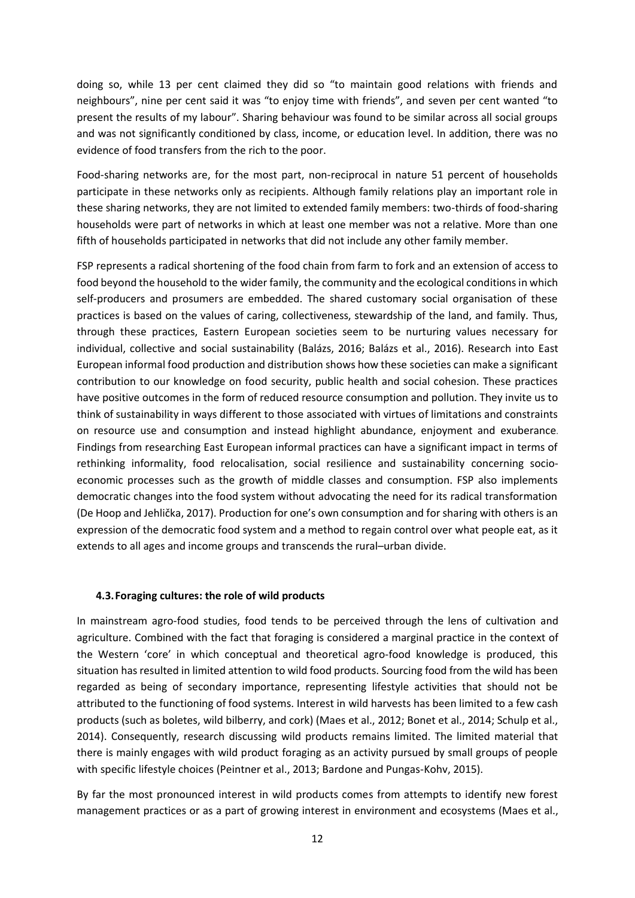doing so, while 13 per cent claimed they did so "to maintain good relations with friends and neighbours", nine per cent said it was "to enjoy time with friends", and seven per cent wanted "to present the results of my labour". Sharing behaviour was found to be similar across all social groups and was not significantly conditioned by class, income, or education level. In addition, there was no evidence of food transfers from the rich to the poor.

Food-sharing networks are, for the most part, non-reciprocal in nature 51 percent of households participate in these networks only as recipients. Although family relations play an important role in these sharing networks, they are not limited to extended family members: two-thirds of food-sharing households were part of networks in which at least one member was not a relative. More than one fifth of households participated in networks that did not include any other family member.

FSP represents a radical shortening of the food chain from farm to fork and an extension of access to food beyond the household to the wider family, the community and the ecological conditions in which self-producers and prosumers are embedded. The shared customary social organisation of these practices is based on the values of caring, collectiveness, stewardship of the land, and family. Thus, through these practices, Eastern European societies seem to be nurturing values necessary for individual, collective and social sustainability (Balázs, 2016; Balázs et al., 2016). Research into East European informal food production and distribution shows how these societies can make a significant contribution to our knowledge on food security, public health and social cohesion. These practices have positive outcomes in the form of reduced resource consumption and pollution. They invite us to think of sustainability in ways different to those associated with virtues of limitations and constraints on resource use and consumption and instead highlight abundance, enjoyment and exuberance. Findings from researching East European informal practices can have a significant impact in terms of rethinking informality, food relocalisation, social resilience and sustainability concerning socioeconomic processes such as the growth of middle classes and consumption. FSP also implements democratic changes into the food system without advocating the need for its radical transformation (De Hoop and Jehlička, 2017). Production for one's own consumption and for sharing with others is an expression of the democratic food system and a method to regain control over what people eat, as it extends to all ages and income groups and transcends the rural–urban divide.

### **4.3.Foraging cultures: the role of wild products**

In mainstream agro-food studies, food tends to be perceived through the lens of cultivation and agriculture. Combined with the fact that foraging is considered a marginal practice in the context of the Western 'core' in which conceptual and theoretical agro-food knowledge is produced, this situation has resulted in limited attention to wild food products. Sourcing food from the wild has been regarded as being of secondary importance, representing lifestyle activities that should not be attributed to the functioning of food systems. Interest in wild harvests has been limited to a few cash products (such as boletes, wild bilberry, and cork) (Maes et al., 2012; Bonet et al., 2014; Schulp et al., 2014). Consequently, research discussing wild products remains limited. The limited material that there is mainly engages with wild product foraging as an activity pursued by small groups of people with specific lifestyle choices (Peintner et al., 2013; Bardone and Pungas-Kohv, 2015).

By far the most pronounced interest in wild products comes from attempts to identify new forest management practices or as a part of growing interest in environment and ecosystems (Maes et al.,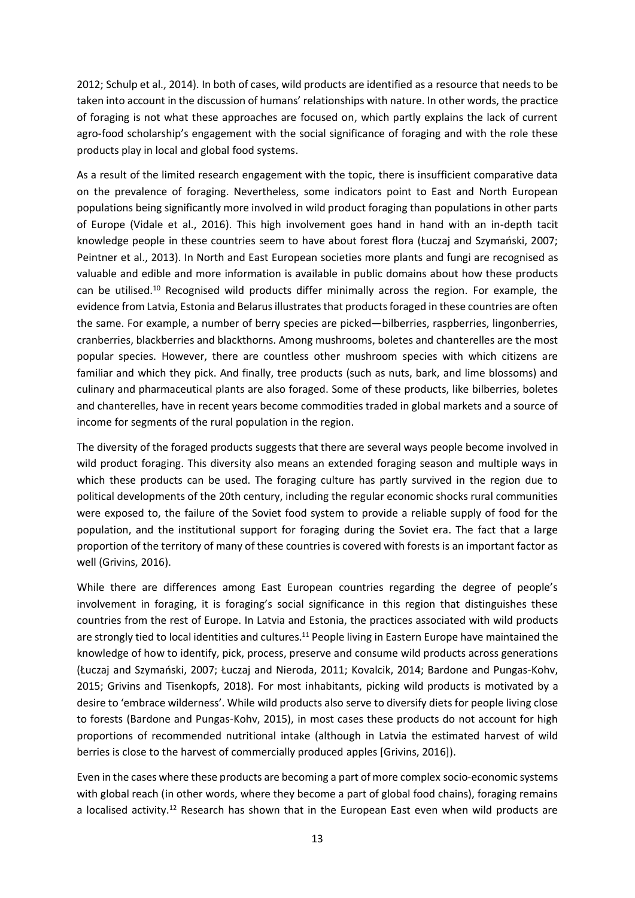2012; Schulp et al., 2014). In both of cases, wild products are identified as a resource that needs to be taken into account in the discussion of humans' relationships with nature. In other words, the practice of foraging is not what these approaches are focused on, which partly explains the lack of current agro-food scholarship's engagement with the social significance of foraging and with the role these products play in local and global food systems.

As a result of the limited research engagement with the topic, there is insufficient comparative data on the prevalence of foraging. Nevertheless, some indicators point to East and North European populations being significantly more involved in wild product foraging than populations in other parts of Europe (Vidale et al., 2016). This high involvement goes hand in hand with an in-depth tacit knowledge people in these countries seem to have about forest flora (Łuczaj and Szymański, 2007; Peintner et al., 2013). In North and East European societies more plants and fungi are recognised as valuable and edible and more information is available in public domains about how these products can be utilised.<sup>10</sup> Recognised wild products differ minimally across the region. For example, the evidence from Latvia, Estonia and Belarus illustrates that products foraged in these countries are often the same. For example, a number of berry species are picked—bilberries, raspberries, lingonberries, cranberries, blackberries and blackthorns. Among mushrooms, boletes and chanterelles are the most popular species. However, there are countless other mushroom species with which citizens are familiar and which they pick. And finally, tree products (such as nuts, bark, and lime blossoms) and culinary and pharmaceutical plants are also foraged. Some of these products, like bilberries, boletes and chanterelles, have in recent years become commodities traded in global markets and a source of income for segments of the rural population in the region.

The diversity of the foraged products suggests that there are several ways people become involved in wild product foraging. This diversity also means an extended foraging season and multiple ways in which these products can be used. The foraging culture has partly survived in the region due to political developments of the 20th century, including the regular economic shocks rural communities were exposed to, the failure of the Soviet food system to provide a reliable supply of food for the population, and the institutional support for foraging during the Soviet era. The fact that a large proportion of the territory of many of these countries is covered with forests is an important factor as well (Grivins, 2016).

While there are differences among East European countries regarding the degree of people's involvement in foraging, it is foraging's social significance in this region that distinguishes these countries from the rest of Europe. In Latvia and Estonia, the practices associated with wild products are strongly tied to local identities and cultures.<sup>11</sup> People living in Eastern Europe have maintained the knowledge of how to identify, pick, process, preserve and consume wild products across generations (Łuczaj and Szymański, 2007; Łuczaj and Nieroda, 2011; Kovalcik, 2014; Bardone and Pungas-Kohv, 2015; Grivins and Tisenkopfs, 2018). For most inhabitants, picking wild products is motivated by a desire to 'embrace wilderness'. While wild products also serve to diversify diets for people living close to forests (Bardone and Pungas-Kohv, 2015), in most cases these products do not account for high proportions of recommended nutritional intake (although in Latvia the estimated harvest of wild berries is close to the harvest of commercially produced apples [Grivins, 2016]).

Even in the cases where these products are becoming a part of more complex socio-economic systems with global reach (in other words, where they become a part of global food chains), foraging remains a localised activity.<sup>12</sup> Research has shown that in the European East even when wild products are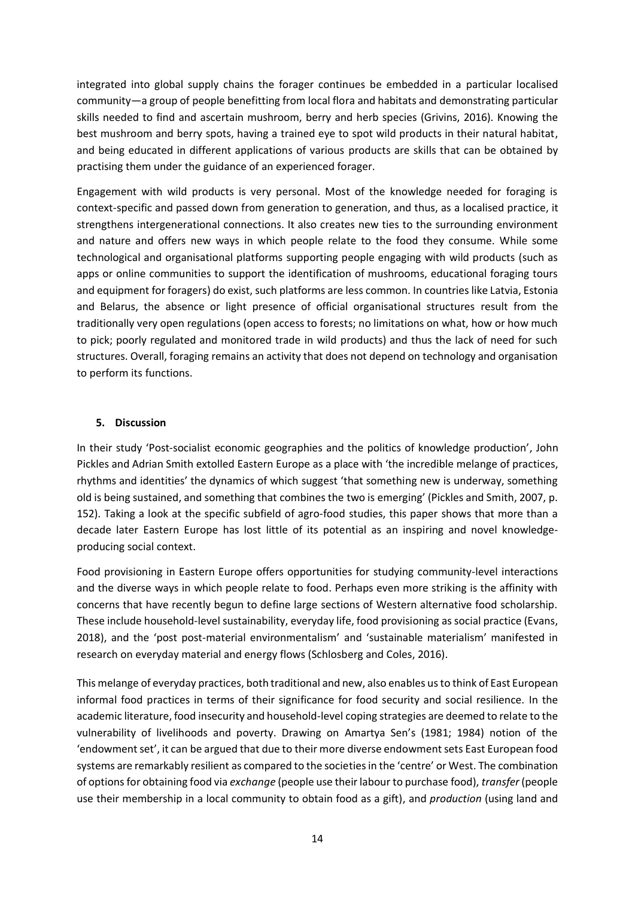integrated into global supply chains the forager continues be embedded in a particular localised community—a group of people benefitting from local flora and habitats and demonstrating particular skills needed to find and ascertain mushroom, berry and herb species (Grivins, 2016). Knowing the best mushroom and berry spots, having a trained eye to spot wild products in their natural habitat, and being educated in different applications of various products are skills that can be obtained by practising them under the guidance of an experienced forager.

Engagement with wild products is very personal. Most of the knowledge needed for foraging is context-specific and passed down from generation to generation, and thus, as a localised practice, it strengthens intergenerational connections. It also creates new ties to the surrounding environment and nature and offers new ways in which people relate to the food they consume. While some technological and organisational platforms supporting people engaging with wild products (such as apps or online communities to support the identification of mushrooms, educational foraging tours and equipment for foragers) do exist, such platforms are less common. In countries like Latvia, Estonia and Belarus, the absence or light presence of official organisational structures result from the traditionally very open regulations (open access to forests; no limitations on what, how or how much to pick; poorly regulated and monitored trade in wild products) and thus the lack of need for such structures. Overall, foraging remains an activity that does not depend on technology and organisation to perform its functions.

# **5. Discussion**

In their study 'Post-socialist economic geographies and the politics of knowledge production', John Pickles and Adrian Smith extolled Eastern Europe as a place with 'the incredible melange of practices, rhythms and identities' the dynamics of which suggest 'that something new is underway, something old is being sustained, and something that combines the two is emerging' (Pickles and Smith, 2007, p. 152). Taking a look at the specific subfield of agro-food studies, this paper shows that more than a decade later Eastern Europe has lost little of its potential as an inspiring and novel knowledgeproducing social context.

Food provisioning in Eastern Europe offers opportunities for studying community-level interactions and the diverse ways in which people relate to food. Perhaps even more striking is the affinity with concerns that have recently begun to define large sections of Western alternative food scholarship. These include household-level sustainability, everyday life, food provisioning as social practice (Evans, 2018), and the 'post post-material environmentalism' and 'sustainable materialism' manifested in research on everyday material and energy flows (Schlosberg and Coles, 2016).

This melange of everyday practices, both traditional and new, also enables us to think of East European informal food practices in terms of their significance for food security and social resilience. In the academic literature, food insecurity and household-level coping strategies are deemed to relate to the vulnerability of livelihoods and poverty. Drawing on Amartya Sen's (1981; 1984) notion of the 'endowment set', it can be argued that due to their more diverse endowment sets East European food systems are remarkably resilient as compared to the societies in the 'centre' or West. The combination of options for obtaining food via *exchange* (people use their labour to purchase food), *transfer* (people use their membership in a local community to obtain food as a gift), and *production* (using land and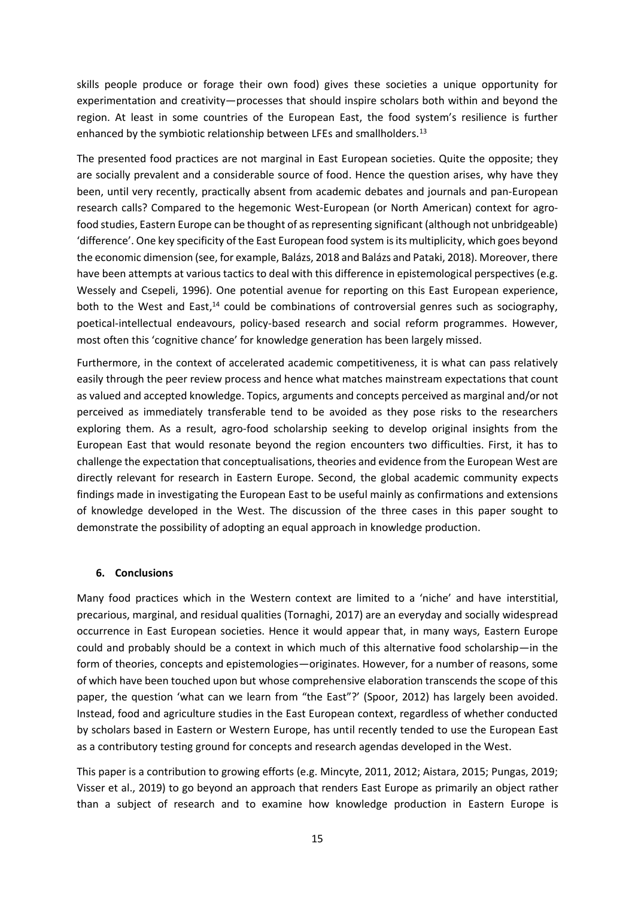skills people produce or forage their own food) gives these societies a unique opportunity for experimentation and creativity—processes that should inspire scholars both within and beyond the region. At least in some countries of the European East, the food system's resilience is further enhanced by the symbiotic relationship between LFEs and smallholders.<sup>13</sup>

The presented food practices are not marginal in East European societies. Quite the opposite; they are socially prevalent and a considerable source of food. Hence the question arises, why have they been, until very recently, practically absent from academic debates and journals and pan-European research calls? Compared to the hegemonic West-European (or North American) context for agrofood studies, Eastern Europe can be thought of as representing significant (although not unbridgeable) 'difference'. One key specificity of the East European food system is its multiplicity, which goes beyond the economic dimension (see, for example, Balázs, 2018 and Balázs and Pataki, 2018). Moreover, there have been attempts at various tactics to deal with this difference in epistemological perspectives (e.g. Wessely and Csepeli, 1996). One potential avenue for reporting on this East European experience, both to the West and East,<sup>14</sup> could be combinations of controversial genres such as sociography, poetical-intellectual endeavours, policy-based research and social reform programmes. However, most often this 'cognitive chance' for knowledge generation has been largely missed.

Furthermore, in the context of accelerated academic competitiveness, it is what can pass relatively easily through the peer review process and hence what matches mainstream expectations that count as valued and accepted knowledge. Topics, arguments and concepts perceived as marginal and/or not perceived as immediately transferable tend to be avoided as they pose risks to the researchers exploring them. As a result, agro-food scholarship seeking to develop original insights from the European East that would resonate beyond the region encounters two difficulties. First, it has to challenge the expectation that conceptualisations, theories and evidence from the European West are directly relevant for research in Eastern Europe. Second, the global academic community expects findings made in investigating the European East to be useful mainly as confirmations and extensions of knowledge developed in the West. The discussion of the three cases in this paper sought to demonstrate the possibility of adopting an equal approach in knowledge production.

# **6. Conclusions**

Many food practices which in the Western context are limited to a 'niche' and have interstitial, precarious, marginal, and residual qualities (Tornaghi, 2017) are an everyday and socially widespread occurrence in East European societies. Hence it would appear that, in many ways, Eastern Europe could and probably should be a context in which much of this alternative food scholarship—in the form of theories, concepts and epistemologies—originates. However, for a number of reasons, some of which have been touched upon but whose comprehensive elaboration transcends the scope of this paper, the question 'what can we learn from "the East"?' (Spoor, 2012) has largely been avoided. Instead, food and agriculture studies in the East European context, regardless of whether conducted by scholars based in Eastern or Western Europe, has until recently tended to use the European East as a contributory testing ground for concepts and research agendas developed in the West.

This paper is a contribution to growing efforts (e.g. Mincyte, 2011, 2012; Aistara, 2015; Pungas, 2019; Visser et al., 2019) to go beyond an approach that renders East Europe as primarily an object rather than a subject of research and to examine how knowledge production in Eastern Europe is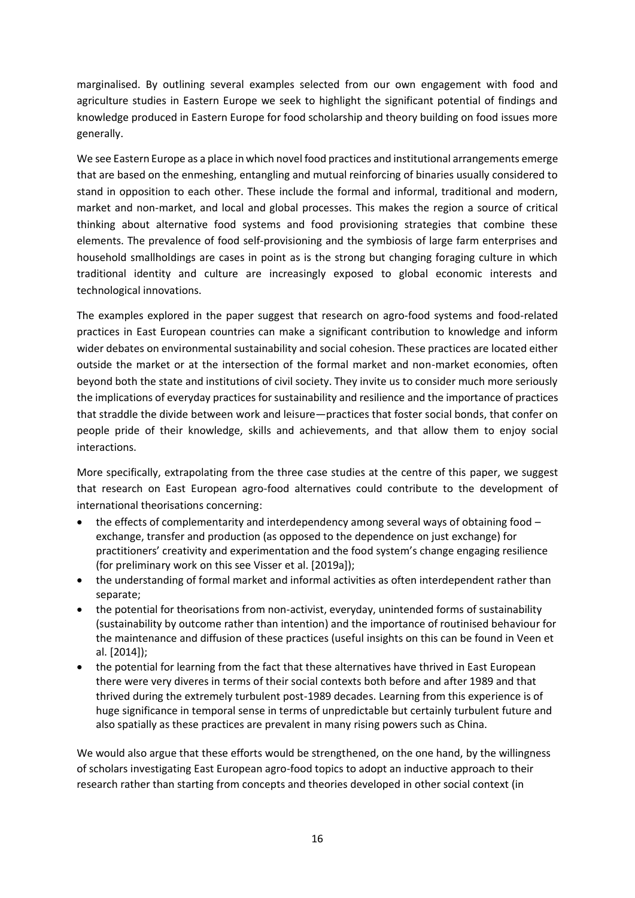marginalised. By outlining several examples selected from our own engagement with food and agriculture studies in Eastern Europe we seek to highlight the significant potential of findings and knowledge produced in Eastern Europe for food scholarship and theory building on food issues more generally.

We see Eastern Europe as a place in which novel food practices and institutional arrangements emerge that are based on the enmeshing, entangling and mutual reinforcing of binaries usually considered to stand in opposition to each other. These include the formal and informal, traditional and modern, market and non-market, and local and global processes. This makes the region a source of critical thinking about alternative food systems and food provisioning strategies that combine these elements. The prevalence of food self-provisioning and the symbiosis of large farm enterprises and household smallholdings are cases in point as is the strong but changing foraging culture in which traditional identity and culture are increasingly exposed to global economic interests and technological innovations.

The examples explored in the paper suggest that research on agro-food systems and food-related practices in East European countries can make a significant contribution to knowledge and inform wider debates on environmental sustainability and social cohesion. These practices are located either outside the market or at the intersection of the formal market and non-market economies, often beyond both the state and institutions of civil society. They invite us to consider much more seriously the implications of everyday practices for sustainability and resilience and the importance of practices that straddle the divide between work and leisure—practices that foster social bonds, that confer on people pride of their knowledge, skills and achievements, and that allow them to enjoy social interactions.

More specifically, extrapolating from the three case studies at the centre of this paper, we suggest that research on East European agro-food alternatives could contribute to the development of international theorisations concerning:

- the effects of complementarity and interdependency among several ways of obtaining food exchange, transfer and production (as opposed to the dependence on just exchange) for practitioners' creativity and experimentation and the food system's change engaging resilience (for preliminary work on this see Visser et al. [2019a]);
- the understanding of formal market and informal activities as often interdependent rather than separate;
- the potential for theorisations from non-activist, everyday, unintended forms of sustainability (sustainability by outcome rather than intention) and the importance of routinised behaviour for the maintenance and diffusion of these practices (useful insights on this can be found in Veen et al. [2014]);
- the potential for learning from the fact that these alternatives have thrived in East European there were very diveres in terms of their social contexts both before and after 1989 and that thrived during the extremely turbulent post-1989 decades. Learning from this experience is of huge significance in temporal sense in terms of unpredictable but certainly turbulent future and also spatially as these practices are prevalent in many rising powers such as China.

We would also argue that these efforts would be strengthened, on the one hand, by the willingness of scholars investigating East European agro-food topics to adopt an inductive approach to their research rather than starting from concepts and theories developed in other social context (in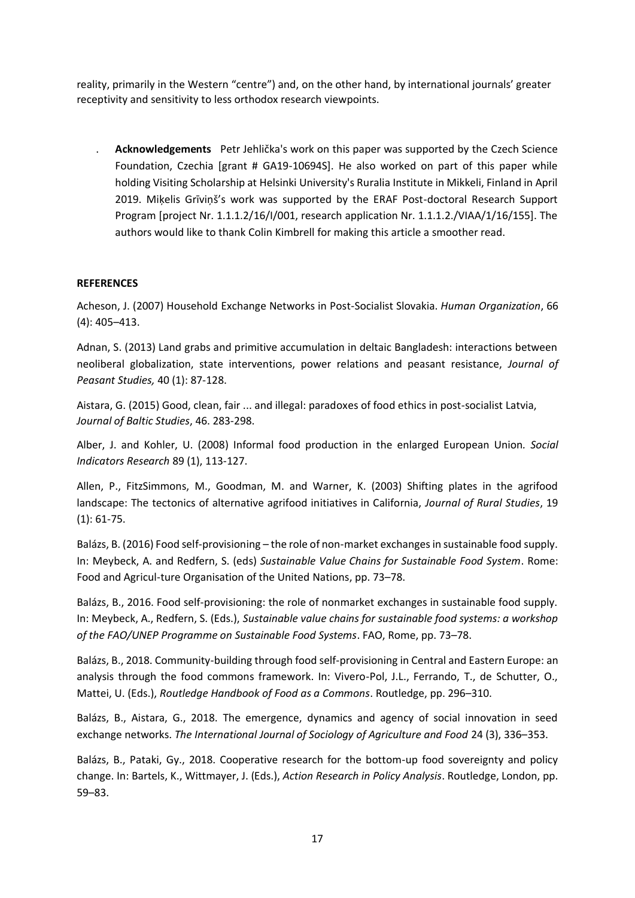reality, primarily in the Western "centre") and, on the other hand, by international journals' greater receptivity and sensitivity to less orthodox research viewpoints.

. **Acknowledgements** Petr Jehlička's work on this paper was supported by the Czech Science Foundation, Czechia [grant # GA19-10694S]. He also worked on part of this paper while holding Visiting Scholarship at Helsinki University's Ruralia Institute in Mikkeli, Finland in April 2019. Miķelis Grīviņš's work was supported by the ERAF Post-doctoral Research Support Program [project Nr. 1.1.1.2/16/I/001, research application Nr. 1.1.1.2./VIAA/1/16/155]. The authors would like to thank Colin Kimbrell for making this article a smoother read.

# **REFERENCES**

Acheson, J. (2007) Household Exchange Networks in Post-Socialist Slovakia. *Human Organization*, 66 (4): 405–413.

Adnan, S. (2013) Land grabs and primitive accumulation in deltaic Bangladesh: interactions between neoliberal globalization, state interventions, power relations and peasant resistance, *Journal of Peasant Studies,* 40 (1): 87-128.

[Aistara, G.](https://apps.webofknowledge.com/OneClickSearch.do?product=UA&search_mode=OneClickSearch&excludeEventConfig=ExcludeIfFromFullRecPage&SID=E2vWWJX4sWDmDb763Fu&field=AU&value=Aistara,%20Guntra%20A.) (2015) [Good, clean, fair ... and illegal: paradoxes of food ethics in post-socialist Latvia,](https://apps.webofknowledge.com/full_record.do?product=UA&search_mode=CitationReport&qid=4&SID=E2vWWJX4sWDmDb763Fu&page=1&doc=6) *Journal of Baltic Studies*, 46. 283-298.

Alber, J. and Kohler, U. (2008) Informal food production in the enlarged European Union*. Social Indicators Research* 89 (1), 113-127.

Allen, P., FitzSimmons, M., Goodman, M. and Warner, K. (2003) Shifting plates in the agrifood landscape: The tectonics of alternative agrifood initiatives in California, *Journal of Rural Studies*, 19 (1): 61-75.

Balázs, B. (2016) Food self-provisioning – the role of non-market exchanges in sustainable food supply. In: Meybeck, A. and Redfern, S. (eds) *Sustainable Value Chains for Sustainable Food System*. Rome: Food and Agricul-ture Organisation of the United Nations, pp. 73–78.

Balázs, B., 2016. Food self-provisioning: the role of nonmarket exchanges in sustainable food supply. In: Meybeck, A., Redfern, S. (Eds.), *Sustainable value chains for sustainable food systems: a workshop of the FAO/UNEP Programme on Sustainable Food Systems*. FAO, Rome, pp. 73–78.

Balázs, B., 2018. Community-building through food self-provisioning in Central and Eastern Europe: an analysis through the food commons framework. In: Vivero-Pol, J.L., Ferrando, T., de Schutter, O., Mattei, U. (Eds.), *Routledge Handbook of Food as a Commons*. Routledge, pp. 296–310.

Balázs, B., Aistara, G., 2018. The emergence, dynamics and agency of social innovation in seed exchange networks. *The International Journal of Sociology of Agriculture and Food* 24 (3), 336–353.

Balázs, B., Pataki, Gy., 2018. Cooperative research for the bottom-up food sovereignty and policy change. In: Bartels, K., Wittmayer, J. (Eds.), *Action Research in Policy Analysis*. Routledge, London, pp. 59–83.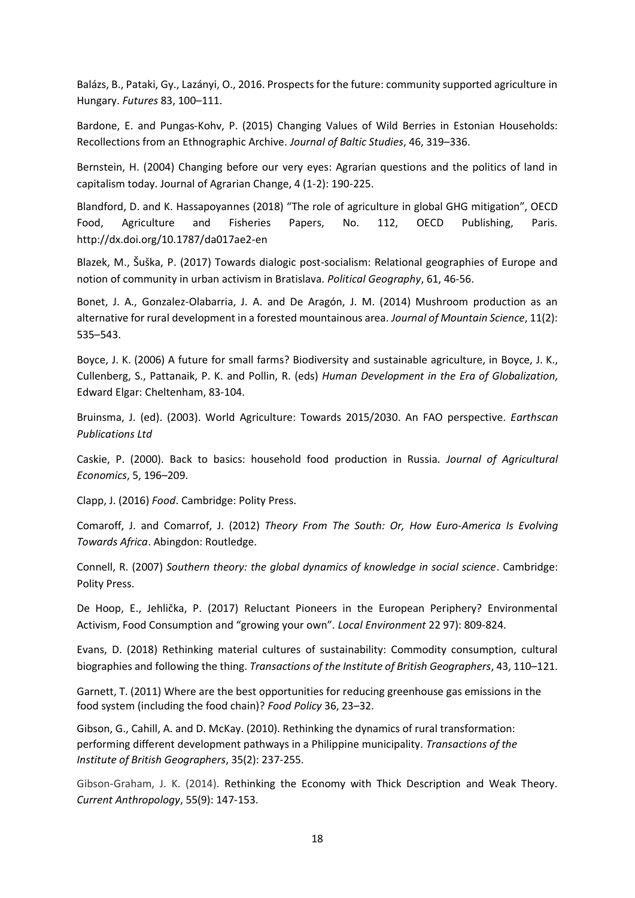Balázs, B., Pataki, Gy., Lazányi, O., 2016. Prospects for the future: community supported agriculture in Hungary. *Futures* 83, 100–111.

Bardone, E. and Pungas-Kohv, P. (2015) Changing Values of Wild Berries in Estonian Households: Recollections from an Ethnographic Archive. *Journal of Baltic Studies*, 46, 319–336.

Bernstein, H. (2004) Changing before our very eyes: Agrarian questions and the politics of land in capitalism today. Journal of Agrarian Change, 4 (1-2): 190-225.

Blandford, D. and K. Hassapoyannes (2018) "The role of agriculture in global GHG mitigation", OECD Food, Agriculture and Fisheries Papers, No. 112, OECD Publishing, Paris. http://dx.doi.org/10.1787/da017ae2-en

Blazek, M., Šuška, P. (2017) Towards dialogic post-socialism: Relational geographies of Europe and notion of community in urban activism in Bratislava. *Political Geography*, 61, 46-56.

Bonet, J. A., Gonzalez-Olabarria, J. A. and De Aragón, J. M. (2014) Mushroom production as an alternative for rural development in a forested mountainous area. *Journal of Mountain Science*, 11(2): 535–543.

Boyce, J. K. (2006) A future for small farms? Biodiversity and sustainable agriculture, in Boyce, J. K., Cullenberg, S., Pattanaik, P. K. and Pollin, R. (eds) *Human Development in the Era of Globalization,* Edward Elgar: Cheltenham, 83-104.

Bruinsma, J. (ed). (2003). World Agriculture: Towards 2015/2030. An FAO perspective. *Earthscan Publications Ltd*

Caskie, P. (2000). Back to basics: household food production in Russia. *Journal of Agricultural Economics*, 5, 196–209.

Clapp, J. (2016) *Food*. Cambridge: Polity Press.

Comaroff, J. and Comarrof, J. (2012) *Theory From The South: Or, How Euro-America Is Evolving Towards Africa*. Abingdon: Routledge.

Connell, R. (2007) *Southern theory: the global dynamics of knowledge in social science*. Cambridge: Polity Press.

De Hoop, E., Jehlička, P. (2017) Reluctant Pioneers in the European Periphery? Environmental Activism, Food Consumption and "growing your own". *Local Environment* 22 97): 809-824.

Evans, D. (2018) Rethinking material cultures of sustainability: Commodity consumption, cultural biographies and following the thing. *Transactions of the Institute of British Geographers*, 43, 110–121.

Garnett, T. (2011) Where are the best opportunities for reducing greenhouse gas emissions in the food system (including the food chain)? *Food Policy* 36, 23–32.

Gibson, G., Cahill, A. and D. McKay. (2010). Rethinking the dynamics of rural transformation: performing different development pathways in a Philippine municipality. *Transactions of the Institute of British Geographers*, 35(2): 237-255.

Gibson-Graham, J. K. (2014). Rethinking the Economy with Thick Description and Weak Theory. *Current Anthropology*, 55(9): 147-153.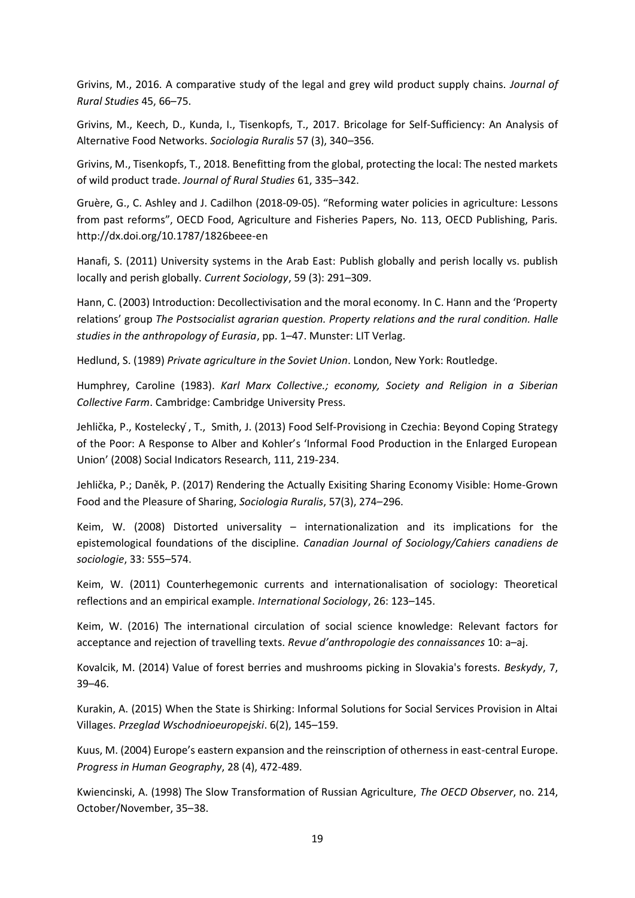Grivins, M., 2016. A comparative study of the legal and grey wild product supply chains. *Journal of Rural Studies* 45, 66–75.

Grivins, M., Keech, D., Kunda, I., Tisenkopfs, T., 2017. Bricolage for Self-Sufficiency: An Analysis of Alternative Food Networks. *Sociologia Ruralis* 57 (3), 340–356.

Grivins, M., Tisenkopfs, T., 2018. Benefitting from the global, protecting the local: The nested markets of wild product trade. *Journal of Rural Studies* 61, 335–342.

Gruère, G., C. Ashley and J. Cadilhon (2018-09-05). "Reforming water policies in agriculture: Lessons from past reforms", OECD Food, Agriculture and Fisheries Papers, No. 113, OECD Publishing, Paris. http://dx.doi.org/10.1787/1826beee-en

Hanafi, S. (2011) University systems in the Arab East: Publish globally and perish locally vs. publish locally and perish globally. *Current Sociology*, 59 (3): 291–309.

Hann, C. (2003) Introduction: Decollectivisation and the moral economy. In C. Hann and the 'Property relations' group *The Postsocialist agrarian question. Property relations and the rural condition. Halle studies in the anthropology of Eurasia*, pp. 1–47. Munster: LIT Verlag.

Hedlund, S. (1989) *Private agriculture in the Soviet Union*. London, New York: Routledge.

Humphrey, Caroline (1983). *Karl Marx Collective.; economy, Society and Religion in a Siberian Collective Farm*. Cambridge: Cambridge University Press.

Jehlička, P., Kostelecky ́, T., Smith, J. (2013) Food Self-Provisiong in Czechia: Beyond Coping Strategy of the Poor: A Response to Alber and Kohler's 'Informal Food Production in the Enlarged European Union' (2008) Social Indicators Research, 111, 219-234.

Jehlička, P.; Daněk, P. (2017) Rendering the Actually Exisiting Sharing Economy Visible: Home-Grown Food and the Pleasure of Sharing, *Sociologia Ruralis*, 57(3), 274–296.

Keim, W. (2008) Distorted universality – internationalization and its implications for the epistemological foundations of the discipline. *Canadian Journal of Sociology/Cahiers canadiens de sociologie*, 33: 555–574.

Keim, W. (2011) Counterhegemonic currents and internationalisation of sociology: Theoretical reflections and an empirical example. *International Sociology*, 26: 123–145.

Keim, W. (2016) The international circulation of social science knowledge: Relevant factors for acceptance and rejection of travelling texts. *Revue d'anthropologie des connaissances* 10: a–aj.

Kovalcik, M. (2014) Value of forest berries and mushrooms picking in Slovakia's forests. *Beskydy*, 7, 39–46.

Kurakin, A. (2015) When the State is Shirking: Informal Solutions for Social Services Provision in Altai Villages. *Przeglad Wschodnioeuropejski*. 6(2), 145–159.

Kuus, M. (2004) Europe's eastern expansion and the reinscription of otherness in east-central Europe. *Progress in Human Geography*, 28 (4), 472-489.

Kwiencinski, A. (1998) The Slow Transformation of Russian Agriculture, *The OECD Observer*, no. 214, October/November, 35–38.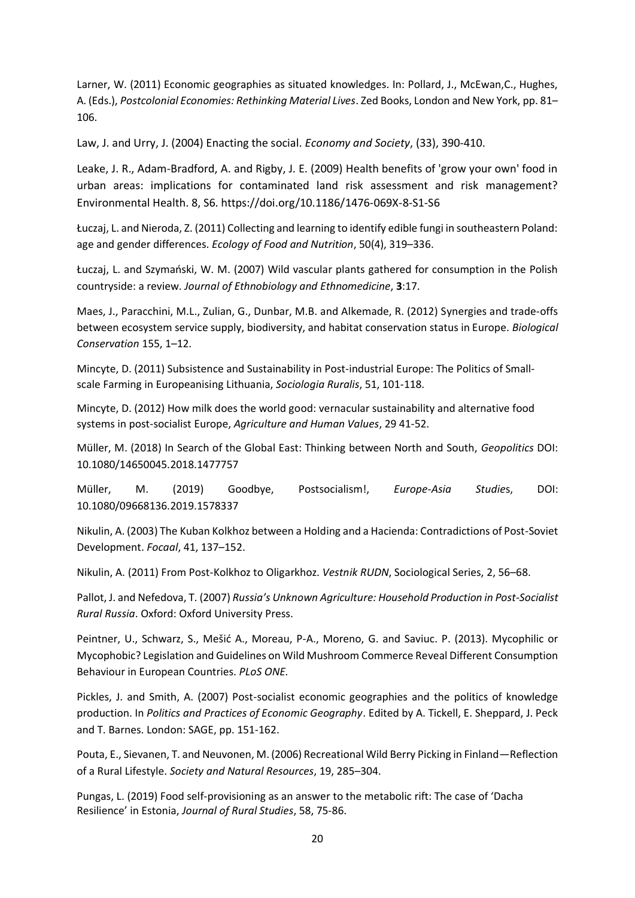Larner, W. (2011) Economic geographies as situated knowledges. In: Pollard, J., McEwan,C., Hughes, A. (Eds.), *Postcolonial Economies: Rethinking Material Lives*. Zed Books, London and New York, pp. 81– 106.

Law, J. and Urry, J. (2004) Enacting the social. *Economy and Society*, (33), 390-410.

Leake, J. R., Adam-Bradford, A. and Rigby, J. E. (2009) Health benefits of 'grow your own' food in urban areas: implications for contaminated land risk assessment and risk management? Environmental Health. 8, S6. https://doi.org/10.1186/1476-069X-8-S1-S6

Łuczaj, L. and Nieroda, Z. (2011) Collecting and learning to identify edible fungi in southeastern Poland: age and gender differences. *Ecology of Food and Nutrition*, 50(4), 319–336.

Łuczaj, L. and Szymański, W. M. (2007) Wild vascular plants gathered for consumption in the Polish countryside: a review. *Journal of Ethnobiology and Ethnomedicine*, **3**:17.

Maes, J., Paracchini, M.L., Zulian, G., Dunbar, M.B. and Alkemade, R. (2012) Synergies and trade-offs between ecosystem service supply, biodiversity, and habitat conservation status in Europe. *Biological Conservation* 155, 1–12.

Mincyte, D. (2011) Subsistence and Sustainability in Post‐industrial Europe: The Politics of Small‐ scale Farming in Europeanising Lithuania, *Sociologia Ruralis*, 51, 101-118.

Mincyte, D. (2012) [How milk does the world good: vernacular sustainability and alternative food](https://apps.webofknowledge.com/full_record.do?product=UA&search_mode=GeneralSearch&qid=1&SID=E2vWWJX4sWDmDb763Fu&page=2&doc=13)  [systems in post-socialist Europe,](https://apps.webofknowledge.com/full_record.do?product=UA&search_mode=GeneralSearch&qid=1&SID=E2vWWJX4sWDmDb763Fu&page=2&doc=13) *Agriculture and Human Values*, 29 41-52.

Müller, M. (2018) In Search of the Global East: Thinking between North and South, *Geopolitics* DOI: 10.1080/14650045.2018.1477757

Müller, M. (2019) Goodbye, Postsocialism!, *Europe-Asia Studie*s, DOI: 10.1080/09668136.2019.1578337

Nikulin, A. (2003) The Kuban Kolkhoz between a Holding and a Hacienda: Contradictions of Post-Soviet Development. *Focaal*, 41, 137–152.

Nikulin, A. (2011) From Post-Kolkhoz to Oligarkhoz. *Vestnik RUDN*, Sociological Series, 2, 56–68.

Pallot, J. and Nefedova, T. (2007) *Russia's Unknown Agriculture: Household Production in Post-Socialist Rural Russia*. Oxford: Oxford University Press.

Peintner, U., Schwarz, S., Mešić A., Moreau, P-A., Moreno, G. and Saviuc. P. (2013). Mycophilic or Mycophobic? Legislation and Guidelines on Wild Mushroom Commerce Reveal Different Consumption Behaviour in European Countries. *PLoS ONE.*

Pickles, J. and Smith, A. (2007) Post-socialist economic geographies and the politics of knowledge production. In *[Politics and Practices of Economic Geography](http://books.google.com/books?id=uYoEAQAAIAAJ&q=Politics+and+Practices+of+Economic+Geography&dq=Politics+and+Practices+of+Economic+Geography)*. Edited by A. Tickell, E. Sheppard, J. Peck and T. Barnes. London: SAGE, pp. 151-162.

Pouta, E., Sievanen, T. and Neuvonen, M. (2006) Recreational Wild Berry Picking in Finland—Reflection of a Rural Lifestyle. *Society and Natural Resources*, 19, 285–304.

Pungas, L. (2019) Food self-provisioning as an answer to the metabolic rift: The case of 'Dacha Resilience' in Estonia, *Journal of Rural Studies*, 58, 75-86.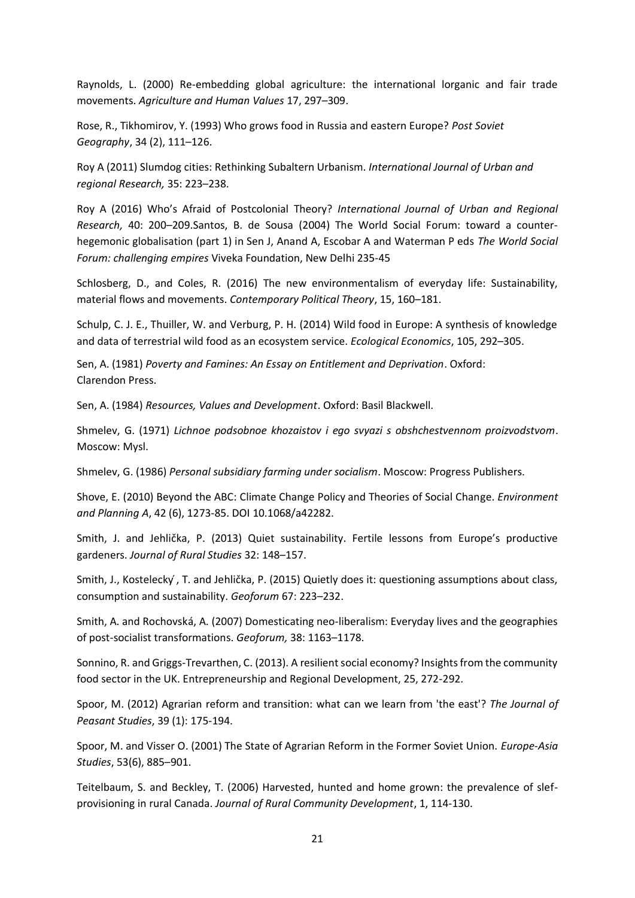Raynolds, L. (2000) Re-embedding global agriculture: the international lorganic and fair trade movements. *Agriculture and Human Values* 17, 297–309.

Rose, R., Tikhomirov, Y. (1993) Who grows food in Russia and eastern Europe? *Post Soviet Geography*, 34 (2), 111–126.

Roy A (2011) Slumdog cities: Rethinking Subaltern Urbanism. *International Journal of Urban and regional Research,* 35: 223–238.

Roy A (2016) Who's Afraid of Postcolonial Theory? *International Journal of Urban and Regional Research,* 40: 200–209.Santos, B. de Sousa (2004) The World Social Forum: toward a counterhegemonic globalisation (part 1) in Sen J, Anand A, Escobar A and Waterman P eds *The World Social Forum: challenging empires* Viveka Foundation, New Delhi 235-45

Schlosberg, D., and Coles, R. (2016) The new environmentalism of everyday life: Sustainability, material flows and movements. *Contemporary Political Theory*, 15, 160–181.

Schulp, C. J. E., Thuiller, W. and Verburg, P. H. (2014) Wild food in Europe: A synthesis of knowledge and data of terrestrial wild food as an ecosystem service. *Ecological Economics*, 105, 292–305.

Sen, A. (1981) *Poverty and Famines: An Essay on Entitlement and Deprivation*. Oxford: Clarendon Press.

Sen, A. (1984) *Resources, Values and Development*. Oxford: Basil Blackwell.

Shmelev, G. (1971) *Lichnoe podsobnoe khozaistov i ego svyazi s obshchestvennom proizvodstvom*. Moscow: Mysl.

Shmelev, G. (1986) *Personal subsidiary farming under socialism*. Moscow: Progress Publishers.

Shove, E. (2010) Beyond the ABC: Climate Change Policy and Theories of Social Change. *Environment and Planning A*, 42 (6), 1273-85. DOI 10.1068/a42282.

Smith, J. and Jehlička, P. (2013) Quiet sustainability. Fertile lessons from Europe's productive gardeners. *Journal of Rural Studies* 32: 148–157.

Smith, J., Kostelecky ́, T. and Jehlička, P. (2015) Quietly does it: questioning assumptions about class, consumption and sustainability. *Geoforum* 67: 223–232.

Smith, A. and Rochovská, A. (2007) Domesticating neo-liberalism: Everyday lives and the geographies of post-socialist transformations. *Geoforum,* 38: 1163–1178.

Sonnino, R. and Griggs-Trevarthen, C. (2013). A resilient social economy? Insights from the community food sector in the UK. Entrepreneurship and Regional Development, 25, 272-292.

Spoor, M. (2012) Agrarian reform and transition: what can we learn from 'the east'? *The Journal of Peasant Studies*, 39 (1): 175-194.

Spoor, M. and Visser O. (2001) The State of Agrarian Reform in the Former Soviet Union. *Europe-Asia Studies*, 53(6), 885–901.

Teitelbaum, S. and Beckley, T. (2006) Harvested, hunted and home grown: the prevalence of slefprovisioning in rural Canada. *Journal of Rural Community Development*, 1, 114-130.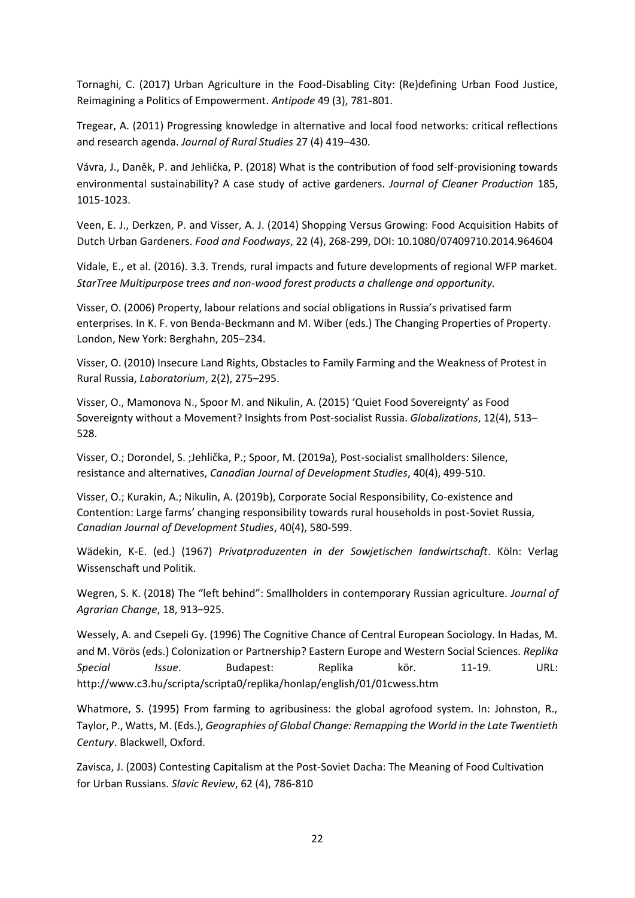Tornaghi, C. (2017) Urban Agriculture in the Food-Disabling City: (Re)defining Urban Food Justice, Reimagining a Politics of Empowerment. *Antipode* 49 (3), 781-801.

Tregear, A. (2011) Progressing knowledge in alternative and local food networks: critical reflections and research agenda. *Journal of Rural Studies* 27 (4) 419–430.

Vávra, J., Daněk, P. and Jehlička, P. (2018) What is the contribution of food self-provisioning towards environmental sustainability? A case study of active gardeners. *Journal of Cleaner Production* 185, 1015-1023.

Veen, E. J., Derkzen, P. and Visser, A. J. (2014) Shopping Versus Growing: Food Acquisition Habits of Dutch Urban Gardeners. *Food and Foodways*, 22 (4), 268-299, DOI: 10.1080/07409710.2014.964604

Vidale, E., et al. (2016). 3.3. Trends, rural impacts and future developments of regional WFP market. *StarTree Multipurpose trees and non-wood forest products a challenge and opportunity.*

Visser, O. (2006) Property, labour relations and social obligations in Russia's privatised farm enterprises. In K. F. von Benda-Beckmann and M. Wiber (eds.) The Changing Properties of Property. London, New York: Berghahn, 205–234.

Visser, O. (2010) Insecure Land Rights, Obstacles to Family Farming and the Weakness of Protest in Rural Russia, *Laboratorium*, 2(2), 275–295.

Visser, O., Mamonova N., Spoor M. and Nikulin, A. (2015) 'Quiet Food Sovereignty' as Food Sovereignty without a Movement? Insights from Post-socialist Russia. *Globalizations*, 12(4), 513– 528.

Visser, O.; Dorondel, S. ;Jehlička, P.; Spoor, M. (2019a), Post-socialist smallholders: Silence, resistance and alternatives, *Canadian Journal of Development Studies*, 40(4), 499-510.

Visser, O.; Kurakin, A.; Nikulin, A. (2019b), Corporate Social Responsibility, Co-existence and Contention: Large farms' changing responsibility towards rural households in post-Soviet Russia, *Canadian Journal of Development Studies*, 40(4), 580-599.

Wädekin, K-E. (ed.) (1967) *Privatproduzenten in der Sowjetischen landwirtschaft*. Köln: Verlag Wissenschaft und Politik.

Wegren, S. K. (2018) The "left behind": Smallholders in contemporary Russian agriculture. *Journal of Agrarian Change*, 18, 913–925.

Wessely, A. and Csepeli Gy. (1996) The Cognitive Chance of Central European Sociology. In Hadas, M. and M. Vörös (eds.) Colonization or Partnership? Eastern Europe and Western Social Sciences. *Replika Special Issue*. Budapest: Replika kör. 11-19. URL: http://www.c3.hu/scripta/scripta0/replika/honlap/english/01/01cwess.htm

Whatmore, S. (1995) From farming to agribusiness: the global agrofood system. In: Johnston, R., Taylor, P., Watts, M. (Eds.), *Geographies of Global Change: Remapping the World in the Late Twentieth Century*. Blackwell, Oxford.

Zavisca, J. (2003) Contesting Capitalism at the Post-Soviet Dacha: The Meaning of Food Cultivation for Urban Russians. *Slavic Review*, 62 (4), 786-810